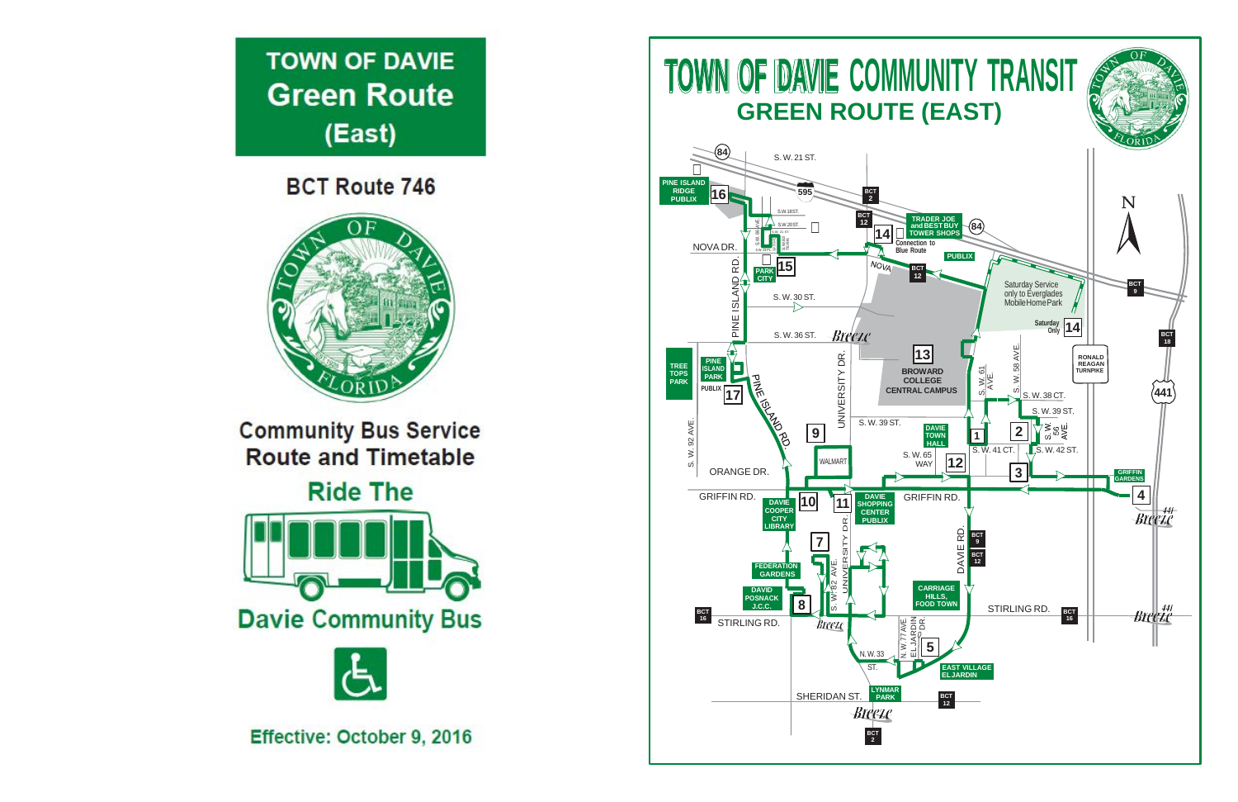

**BCT Route 746** 



**Community Bus Service Route and Timetable** 

**Ride The** 





Effective: October 9, 2016

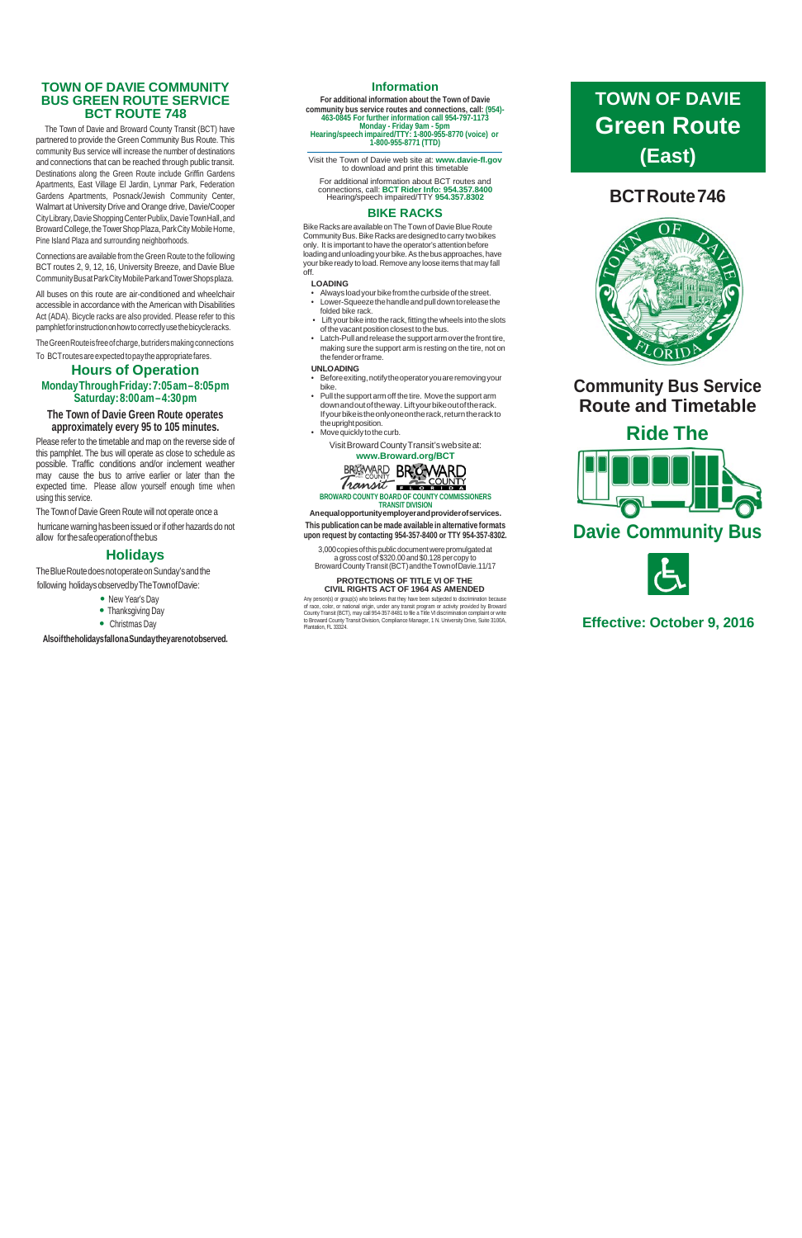### **TOWN OF DAVIE COMMUNITY BUS GREEN ROUTE SERVICE BCT ROUTE 748**

The Town of Davie and Broward County Transit (BCT) have partnered to provide the Green Community Bus Route. This community Bus service will increase the number of destinations and connections that can be reached through public transit. Destinations along the Green Route include Griffin Gardens Apartments, East Village El Jardin, Lynmar Park, Federation Gardens Apartments, Posnack/Jewish Community Center, Walmart at University Drive and Orange drive, Davie/Cooper CityLibrary,DavieShoppingCenterPublix,DavieTownHall,and Broward College, the Tower Shop Plaza, Park City Mobile Home, Pine Island Plaza and surrounding neighborhoods.

Connections are available from the Green Route to the following BCT routes 2, 9, 12, 16, University Breeze, and Davie Blue CommunityBusatParkCityMobileParkandTowerShopsplaza.

hurricane warning has been issued or if other hazards do not allow forthesafeoperationofthebus

The Blue Route does not operate on Sunday's and the following holidays observedbyTheTownofDavie:

- New Year's Day
- Thanksgiving Day
- Christmas Day

All buses on this route are air-conditioned and wheelchair accessible in accordance with the American with Disabilities Act (ADA). Bicycle racks are also provided. Please refer to this pamphletforinstructiononhowtocorrectlyusethebicycleracks.

The Green Route is free of charge, but riders making connections

To BCTroutesareexpectedtopaytheappropriatefares.

## **Hours of Operation**

#### **MondayThroughFriday:7:05am–8:05pm Saturday:8:00am–4:30pm**

#### **The Town of Davie Green Route operates approximately every 95 to 105 minutes.**

Bike Racks are available on The Town of Davie Blue Route Community Bus. Bike Racks are designed to carry two bikes only. It is important to have the operator's attention before loading and unloading your bike. As the bus approaches, have your bike ready to load. Remove any loose items that may fall off.

Please refer to the timetable and map on the reverse side of this pamphlet. The bus will operate as close to schedule as possible. Traffic conditions and/or inclement weather may cause the bus to arrive earlier or later than the expected time. Please allow yourself enough time when using this service.

- Always load your bike from the curbside of the street.
- Lower-Squeezethehandleandpulldowntoreleasethe folded bike rack.
- Lift your bike into the rack, fitting the wheels into the slots of the vacant position closest to the bus.
- Latch-Pull and release the support arm over the front tire, making sure the support arm is resting on the tire, not on thefenderorframe.

The Townof Davie Green Route will not operate once a

- Before exiting, notify the operator you are removing your bike.
- Pull the support arm off the tire. Movethe support arm downandoutoftheway. Liftyourbikeoutoftherack. Ifyourbikeistheonlyoneontherack,returntherackto the upright position.
- Movequickly tothecurb.

## **Holidays**

3,000copiesofthispublicdocumentwerepromulgatedat a gross cost of\$320.00 and \$0.128 percopy to Broward County Transit (BCT) and the Town of Davie.11/17

**AlsoiftheholidaysfallonaSundaytheyarenotobserved.**

#### **Information**

**For additional information about the Town of Davie community bus service routes and connections, call: (954)- 463-0845 For further information call 954-797-1173 Monday - Friday 9am - 5pm Hearing/speech impaired/TTY: 1-800-955-8770 (voice) or 1-800-955-8771 (TTD)**

Visit the Town of Davie web site at: **[www.davie-fl.gov](http://www.davie-fl.gov/)** to download and print this timetable

For additional information about BCT routes and connections, call: **BCT Rider Info: 954.357.8400** Hearing/speech impaired/TTY **954.357.8302**

#### **BIKE RACKS**

#### **LOADING**

#### **UNLOADING**

#### VisitBrowardCountyTransit'swebsiteat: **[www.Broward.org/BCT](http://www.broward.org/BCT)**



**BROWARD COUNTY BOARD OF COUNTY COMMISSIONERS TRANSIT DIVISION**

**Anequalopportunityemployerandproviderofservices. This publication can be made available in alternative formats**

**upon request by contacting 954-357-8400 or TTY 954-357-8302.**

#### **PROTECTIONS OF TITLE VI OF THE CIVIL RIGHTS ACT OF 1964 AS AMENDED**

Any person(s) or group(s) who believes that they have been subjected to discrimination because of race, color, or national origin, under any transit program or activity provided by Broward<br>County Transit (BCT), may call 954-357-8481 to file a Title VI discrimination complaint or write<br>to Broward County Transit Divis Plantation, FL 33324.

# **BCTRoute746**



# **Community Bus Service Route and Timetable**

**Ride The**





## **Effective: October 9, 2016**

# **TOWN OF DAVIE Green Route (East)**